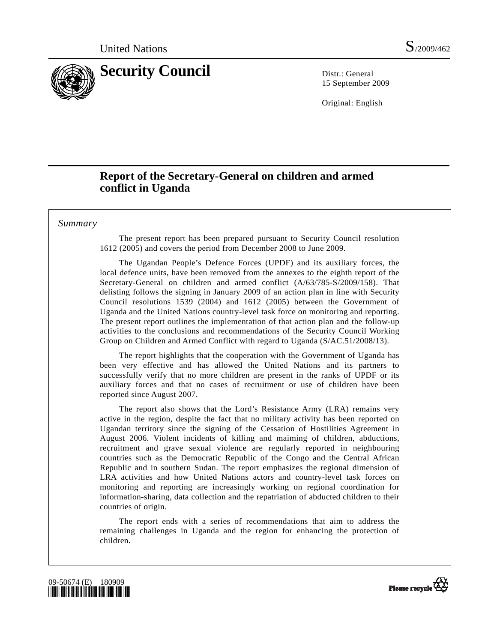

15 September 2009

Original: English

# **Report of the Secretary-General on children and armed conflict in Uganda**

### *Summary*

 The present report has been prepared pursuant to Security Council resolution 1612 (2005) and covers the period from December 2008 to June 2009.

 The Ugandan People's Defence Forces (UPDF) and its auxiliary forces, the local defence units, have been removed from the annexes to the eighth report of the Secretary-General on children and armed conflict (A/63/785-S/2009/158). That delisting follows the signing in January 2009 of an action plan in line with Security Council resolutions 1539 (2004) and 1612 (2005) between the Government of Uganda and the United Nations country-level task force on monitoring and reporting. The present report outlines the implementation of that action plan and the follow-up activities to the conclusions and recommendations of the Security Council Working Group on Children and Armed Conflict with regard to Uganda (S/AC.51/2008/13).

 The report highlights that the cooperation with the Government of Uganda has been very effective and has allowed the United Nations and its partners to successfully verify that no more children are present in the ranks of UPDF or its auxiliary forces and that no cases of recruitment or use of children have been reported since August 2007.

 The report also shows that the Lord's Resistance Army (LRA) remains very active in the region, despite the fact that no military activity has been reported on Ugandan territory since the signing of the Cessation of Hostilities Agreement in August 2006. Violent incidents of killing and maiming of children, abductions, recruitment and grave sexual violence are regularly reported in neighbouring countries such as the Democratic Republic of the Congo and the Central African Republic and in southern Sudan. The report emphasizes the regional dimension of LRA activities and how United Nations actors and country-level task forces on monitoring and reporting are increasingly working on regional coordination for information-sharing, data collection and the repatriation of abducted children to their countries of origin.

 The report ends with a series of recommendations that aim to address the remaining challenges in Uganda and the region for enhancing the protection of children.



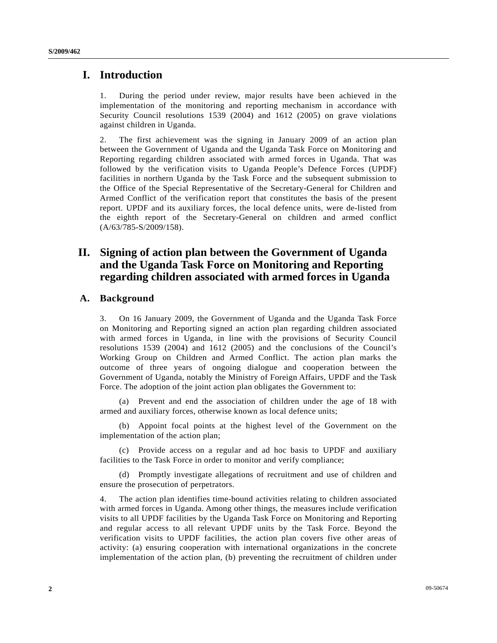### **I. Introduction**

1. During the period under review, major results have been achieved in the implementation of the monitoring and reporting mechanism in accordance with Security Council resolutions 1539 (2004) and 1612 (2005) on grave violations against children in Uganda.

2. The first achievement was the signing in January 2009 of an action plan between the Government of Uganda and the Uganda Task Force on Monitoring and Reporting regarding children associated with armed forces in Uganda. That was followed by the verification visits to Uganda People's Defence Forces (UPDF) facilities in northern Uganda by the Task Force and the subsequent submission to the Office of the Special Representative of the Secretary-General for Children and Armed Conflict of the verification report that constitutes the basis of the present report. UPDF and its auxiliary forces, the local defence units, were de-listed from the eighth report of the Secretary-General on children and armed conflict (A/63/785-S/2009/158).

# **II. Signing of action plan between the Government of Uganda and the Uganda Task Force on Monitoring and Reporting regarding children associated with armed forces in Uganda**

### **A. Background**

3. On 16 January 2009, the Government of Uganda and the Uganda Task Force on Monitoring and Reporting signed an action plan regarding children associated with armed forces in Uganda, in line with the provisions of Security Council resolutions 1539 (2004) and 1612 (2005) and the conclusions of the Council's Working Group on Children and Armed Conflict. The action plan marks the outcome of three years of ongoing dialogue and cooperation between the Government of Uganda, notably the Ministry of Foreign Affairs, UPDF and the Task Force. The adoption of the joint action plan obligates the Government to:

 (a) Prevent and end the association of children under the age of 18 with armed and auxiliary forces, otherwise known as local defence units;

 (b) Appoint focal points at the highest level of the Government on the implementation of the action plan;

 (c) Provide access on a regular and ad hoc basis to UPDF and auxiliary facilities to the Task Force in order to monitor and verify compliance;

 (d) Promptly investigate allegations of recruitment and use of children and ensure the prosecution of perpetrators.

4. The action plan identifies time-bound activities relating to children associated with armed forces in Uganda. Among other things, the measures include verification visits to all UPDF facilities by the Uganda Task Force on Monitoring and Reporting and regular access to all relevant UPDF units by the Task Force. Beyond the verification visits to UPDF facilities, the action plan covers five other areas of activity: (a) ensuring cooperation with international organizations in the concrete implementation of the action plan, (b) preventing the recruitment of children under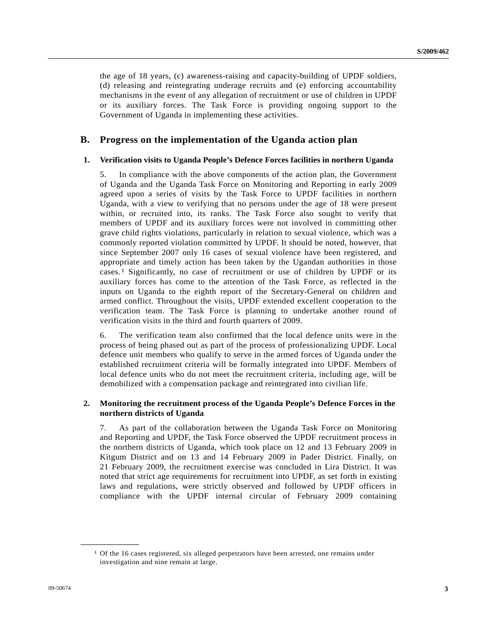the age of 18 years, (c) awareness-raising and capacity-building of UPDF soldiers, (d) releasing and reintegrating underage recruits and (e) enforcing accountability mechanisms in the event of any allegation of recruitment or use of children in UPDF or its auxiliary forces. The Task Force is providing ongoing support to the Government of Uganda in implementing these activities.

### **B. Progress on the implementation of the Uganda action plan**

#### **1. Verification visits to Uganda People's Defence Forces facilities in northern Uganda**

5. In compliance with the above components of the action plan, the Government of Uganda and the Uganda Task Force on Monitoring and Reporting in early 2009 agreed upon a series of visits by the Task Force to UPDF facilities in northern Uganda, with a view to verifying that no persons under the age of 18 were present within, or recruited into, its ranks. The Task Force also sought to verify that members of UPDF and its auxiliary forces were not involved in committing other grave child rights violations, particularly in relation to sexual violence, which was a commonly reported violation committed by UPDF. It should be noted, however, that since September 2007 only 16 cases of sexual violence have been registered, and appropriate and timely action has been taken by the Ugandan authorities in those cases.[1](#page-2-0) Significantly, no case of recruitment or use of children by UPDF or its auxiliary forces has come to the attention of the Task Force, as reflected in the inputs on Uganda to the eighth report of the Secretary-General on children and armed conflict. Throughout the visits, UPDF extended excellent cooperation to the verification team. The Task Force is planning to undertake another round of verification visits in the third and fourth quarters of 2009.

6. The verification team also confirmed that the local defence units were in the process of being phased out as part of the process of professionalizing UPDF. Local defence unit members who qualify to serve in the armed forces of Uganda under the established recruitment criteria will be formally integrated into UPDF. Members of local defence units who do not meet the recruitment criteria, including age, will be demobilized with a compensation package and reintegrated into civilian life.

### **2. Monitoring the recruitment process of the Uganda People's Defence Forces in the northern districts of Uganda**

7. As part of the collaboration between the Uganda Task Force on Monitoring and Reporting and UPDF, the Task Force observed the UPDF recruitment process in the northern districts of Uganda, which took place on 12 and 13 February 2009 in Kitgum District and on 13 and 14 February 2009 in Pader District. Finally, on 21 February 2009, the recruitment exercise was concluded in Lira District. It was noted that strict age requirements for recruitment into UPDF, as set forth in existing laws and regulations, were strictly observed and followed by UPDF officers in compliance with the UPDF internal circular of February 2009 containing

<span id="page-2-0"></span>**\_\_\_\_\_\_\_\_\_\_\_\_\_\_\_\_\_\_** 

<sup>1</sup> Of the 16 cases registered, six alleged perpetrators have been arrested, one remains under investigation and nine remain at large.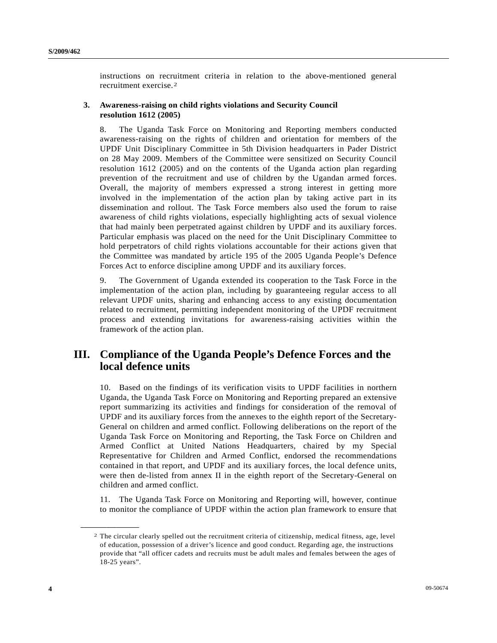instructions on recruitment criteria in relation to the above-mentioned general recruitment exercise.[2](#page-3-0)

#### **3. Awareness-raising on child rights violations and Security Council resolution 1612 (2005)**

8. The Uganda Task Force on Monitoring and Reporting members conducted awareness-raising on the rights of children and orientation for members of the UPDF Unit Disciplinary Committee in 5th Division headquarters in Pader District on 28 May 2009. Members of the Committee were sensitized on Security Council resolution 1612 (2005) and on the contents of the Uganda action plan regarding prevention of the recruitment and use of children by the Ugandan armed forces. Overall, the majority of members expressed a strong interest in getting more involved in the implementation of the action plan by taking active part in its dissemination and rollout. The Task Force members also used the forum to raise awareness of child rights violations, especially highlighting acts of sexual violence that had mainly been perpetrated against children by UPDF and its auxiliary forces. Particular emphasis was placed on the need for the Unit Disciplinary Committee to hold perpetrators of child rights violations accountable for their actions given that the Committee was mandated by article 195 of the 2005 Uganda People's Defence Forces Act to enforce discipline among UPDF and its auxiliary forces.

9. The Government of Uganda extended its cooperation to the Task Force in the implementation of the action plan, including by guaranteeing regular access to all relevant UPDF units, sharing and enhancing access to any existing documentation related to recruitment, permitting independent monitoring of the UPDF recruitment process and extending invitations for awareness-raising activities within the framework of the action plan.

# **III. Compliance of the Uganda People's Defence Forces and the local defence units**

10. Based on the findings of its verification visits to UPDF facilities in northern Uganda, the Uganda Task Force on Monitoring and Reporting prepared an extensive report summarizing its activities and findings for consideration of the removal of UPDF and its auxiliary forces from the annexes to the eighth report of the Secretary-General on children and armed conflict. Following deliberations on the report of the Uganda Task Force on Monitoring and Reporting, the Task Force on Children and Armed Conflict at United Nations Headquarters, chaired by my Special Representative for Children and Armed Conflict, endorsed the recommendations contained in that report, and UPDF and its auxiliary forces, the local defence units, were then de-listed from annex II in the eighth report of the Secretary-General on children and armed conflict.

11. The Uganda Task Force on Monitoring and Reporting will, however, continue to monitor the compliance of UPDF within the action plan framework to ensure that

<span id="page-3-0"></span>**\_\_\_\_\_\_\_\_\_\_\_\_\_\_\_\_\_\_** 

<sup>2</sup> The circular clearly spelled out the recruitment criteria of citizenship, medical fitness, age, level of education, possession of a driver's licence and good conduct. Regarding age, the instructions provide that "all officer cadets and recruits must be adult males and females between the ages of 18-25 years".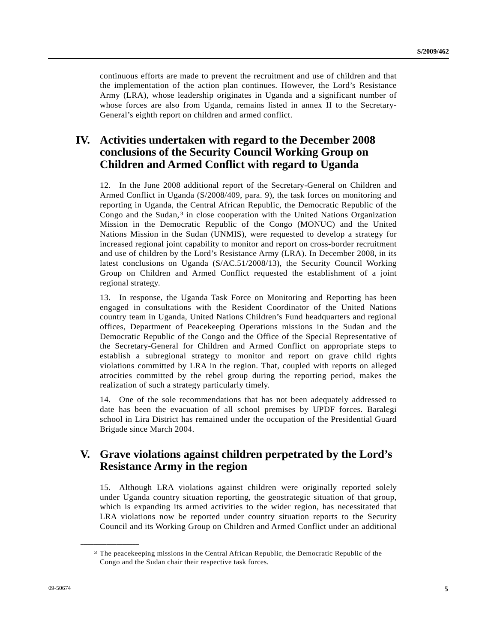continuous efforts are made to prevent the recruitment and use of children and that the implementation of the action plan continues. However, the Lord's Resistance Army (LRA), whose leadership originates in Uganda and a significant number of whose forces are also from Uganda, remains listed in annex II to the Secretary-General's eighth report on children and armed conflict.

# **IV. Activities undertaken with regard to the December 2008 conclusions of the Security Council Working Group on Children and Armed Conflict with regard to Uganda**

12. In the June 2008 additional report of the Secretary-General on Children and Armed Conflict in Uganda (S/2008/409, para. 9), the task forces on monitoring and reporting in Uganda, the Central African Republic, the Democratic Republic of the Congo and the Sudan, $3$  in close cooperation with the United Nations Organization Mission in the Democratic Republic of the Congo (MONUC) and the United Nations Mission in the Sudan (UNMIS), were requested to develop a strategy for increased regional joint capability to monitor and report on cross-border recruitment and use of children by the Lord's Resistance Army (LRA). In December 2008, in its latest conclusions on Uganda (S/AC.51/2008/13), the Security Council Working Group on Children and Armed Conflict requested the establishment of a joint regional strategy.

13. In response, the Uganda Task Force on Monitoring and Reporting has been engaged in consultations with the Resident Coordinator of the United Nations country team in Uganda, United Nations Children's Fund headquarters and regional offices, Department of Peacekeeping Operations missions in the Sudan and the Democratic Republic of the Congo and the Office of the Special Representative of the Secretary-General for Children and Armed Conflict on appropriate steps to establish a subregional strategy to monitor and report on grave child rights violations committed by LRA in the region. That, coupled with reports on alleged atrocities committed by the rebel group during the reporting period, makes the realization of such a strategy particularly timely.

14. One of the sole recommendations that has not been adequately addressed to date has been the evacuation of all school premises by UPDF forces. Baralegi school in Lira District has remained under the occupation of the Presidential Guard Brigade since March 2004.

# **V. Grave violations against children perpetrated by the Lord's Resistance Army in the region**

15. Although LRA violations against children were originally reported solely under Uganda country situation reporting, the geostrategic situation of that group, which is expanding its armed activities to the wider region, has necessitated that LRA violations now be reported under country situation reports to the Security Council and its Working Group on Children and Armed Conflict under an additional

<span id="page-4-0"></span>**\_\_\_\_\_\_\_\_\_\_\_\_\_\_\_\_\_\_** 

<sup>3</sup> The peacekeeping missions in the Central African Republic, the Democratic Republic of the Congo and the Sudan chair their respective task forces.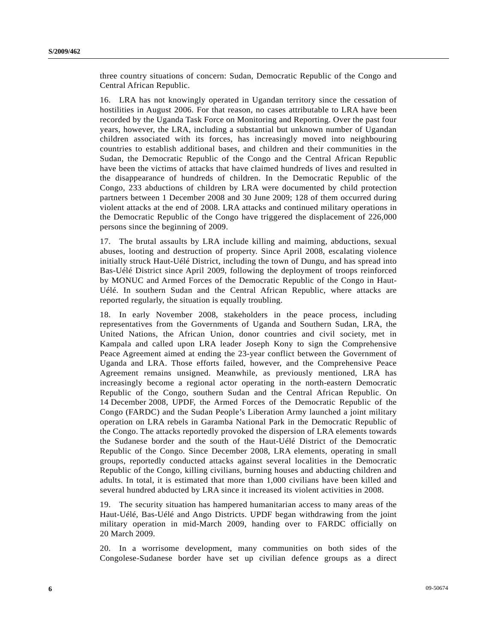three country situations of concern: Sudan, Democratic Republic of the Congo and Central African Republic.

16. LRA has not knowingly operated in Ugandan territory since the cessation of hostilities in August 2006. For that reason, no cases attributable to LRA have been recorded by the Uganda Task Force on Monitoring and Reporting. Over the past four years, however, the LRA, including a substantial but unknown number of Ugandan children associated with its forces, has increasingly moved into neighbouring countries to establish additional bases, and children and their communities in the Sudan, the Democratic Republic of the Congo and the Central African Republic have been the victims of attacks that have claimed hundreds of lives and resulted in the disappearance of hundreds of children. In the Democratic Republic of the Congo, 233 abductions of children by LRA were documented by child protection partners between 1 December 2008 and 30 June 2009; 128 of them occurred during violent attacks at the end of 2008. LRA attacks and continued military operations in the Democratic Republic of the Congo have triggered the displacement of 226,000 persons since the beginning of 2009.

17. The brutal assaults by LRA include killing and maiming, abductions, sexual abuses, looting and destruction of property. Since April 2008, escalating violence initially struck Haut-Uélé District, including the town of Dungu, and has spread into Bas-Uélé District since April 2009, following the deployment of troops reinforced by MONUC and Armed Forces of the Democratic Republic of the Congo in Haut-Uélé. In southern Sudan and the Central African Republic, where attacks are reported regularly, the situation is equally troubling.

18. In early November 2008, stakeholders in the peace process, including representatives from the Governments of Uganda and Southern Sudan, LRA, the United Nations, the African Union, donor countries and civil society, met in Kampala and called upon LRA leader Joseph Kony to sign the Comprehensive Peace Agreement aimed at ending the 23-year conflict between the Government of Uganda and LRA. Those efforts failed, however, and the Comprehensive Peace Agreement remains unsigned. Meanwhile, as previously mentioned, LRA has increasingly become a regional actor operating in the north-eastern Democratic Republic of the Congo, southern Sudan and the Central African Republic. On 14 December 2008, UPDF, the Armed Forces of the Democratic Republic of the Congo (FARDC) and the Sudan People's Liberation Army launched a joint military operation on LRA rebels in Garamba National Park in the Democratic Republic of the Congo. The attacks reportedly provoked the dispersion of LRA elements towards the Sudanese border and the south of the Haut-Uélé District of the Democratic Republic of the Congo. Since December 2008, LRA elements, operating in small groups, reportedly conducted attacks against several localities in the Democratic Republic of the Congo, killing civilians, burning houses and abducting children and adults. In total, it is estimated that more than 1,000 civilians have been killed and several hundred abducted by LRA since it increased its violent activities in 2008.

19. The security situation has hampered humanitarian access to many areas of the Haut-Uélé, Bas-Uélé and Ango Districts. UPDF began withdrawing from the joint military operation in mid-March 2009, handing over to FARDC officially on 20 March 2009.

20. In a worrisome development, many communities on both sides of the Congolese-Sudanese border have set up civilian defence groups as a direct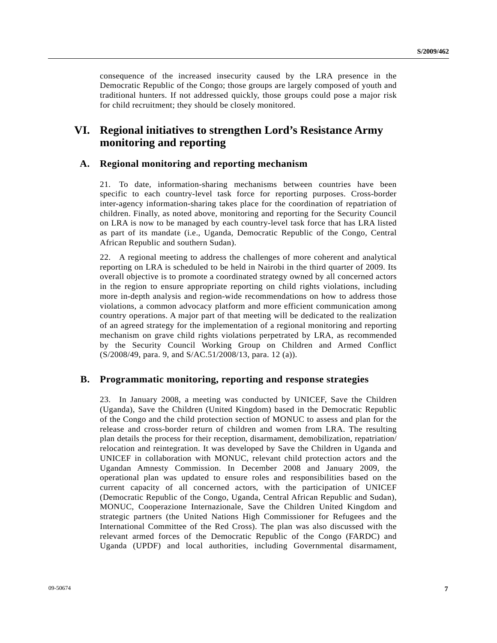consequence of the increased insecurity caused by the LRA presence in the Democratic Republic of the Congo; those groups are largely composed of youth and traditional hunters. If not addressed quickly, those groups could pose a major risk for child recruitment; they should be closely monitored.

## **VI. Regional initiatives to strengthen Lord's Resistance Army monitoring and reporting**

### **A. Regional monitoring and reporting mechanism**

21. To date, information-sharing mechanisms between countries have been specific to each country-level task force for reporting purposes. Cross-border inter-agency information-sharing takes place for the coordination of repatriation of children. Finally, as noted above, monitoring and reporting for the Security Council on LRA is now to be managed by each country-level task force that has LRA listed as part of its mandate (i.e., Uganda, Democratic Republic of the Congo, Central African Republic and southern Sudan).

22. A regional meeting to address the challenges of more coherent and analytical reporting on LRA is scheduled to be held in Nairobi in the third quarter of 2009. Its overall objective is to promote a coordinated strategy owned by all concerned actors in the region to ensure appropriate reporting on child rights violations, including more in-depth analysis and region-wide recommendations on how to address those violations, a common advocacy platform and more efficient communication among country operations. A major part of that meeting will be dedicated to the realization of an agreed strategy for the implementation of a regional monitoring and reporting mechanism on grave child rights violations perpetrated by LRA, as recommended by the Security Council Working Group on Children and Armed Conflict (S/2008/49, para. 9, and S/AC.51/2008/13, para. 12 (a)).

### **B. Programmatic monitoring, reporting and response strategies**

23. In January 2008, a meeting was conducted by UNICEF, Save the Children (Uganda), Save the Children (United Kingdom) based in the Democratic Republic of the Congo and the child protection section of MONUC to assess and plan for the release and cross-border return of children and women from LRA. The resulting plan details the process for their reception, disarmament, demobilization, repatriation/ relocation and reintegration. It was developed by Save the Children in Uganda and UNICEF in collaboration with MONUC, relevant child protection actors and the Ugandan Amnesty Commission. In December 2008 and January 2009, the operational plan was updated to ensure roles and responsibilities based on the current capacity of all concerned actors, with the participation of UNICEF (Democratic Republic of the Congo, Uganda, Central African Republic and Sudan), MONUC, Cooperazione Internazionale, Save the Children United Kingdom and strategic partners (the United Nations High Commissioner for Refugees and the International Committee of the Red Cross). The plan was also discussed with the relevant armed forces of the Democratic Republic of the Congo (FARDC) and Uganda (UPDF) and local authorities, including Governmental disarmament,